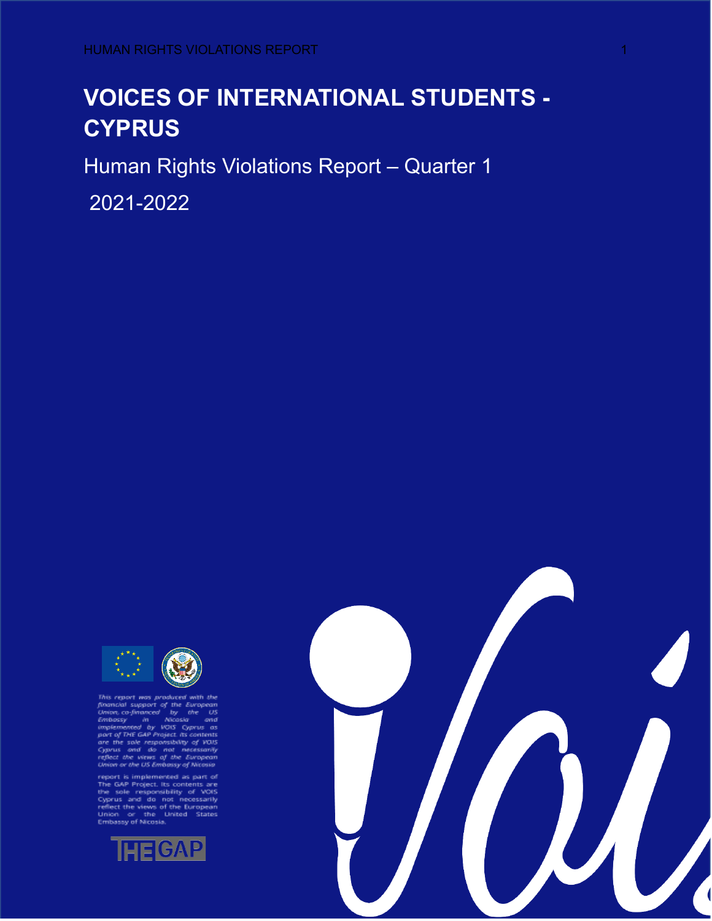# **VOICES OF INTERNATIONAL STUDENTS - CYPRUS**

Human Rights Violations Report – Quarter 1

2021-2022



This report was produced with the foramed support of the European Union, co-financed by the US can<br>Embassy in Microsia end of the US capacity and the produced by the state<br>implemented by VOIS Cyprus as<br>part of THE GAP Pro

France's implemented as part of<br>The GAP Project. Its contents are<br>the sole responsibility of VOIS<br>Cyprus and do not necessarily<br>reflect the views of the European<br>Union or the United States<br>Embassy of Nicosia.



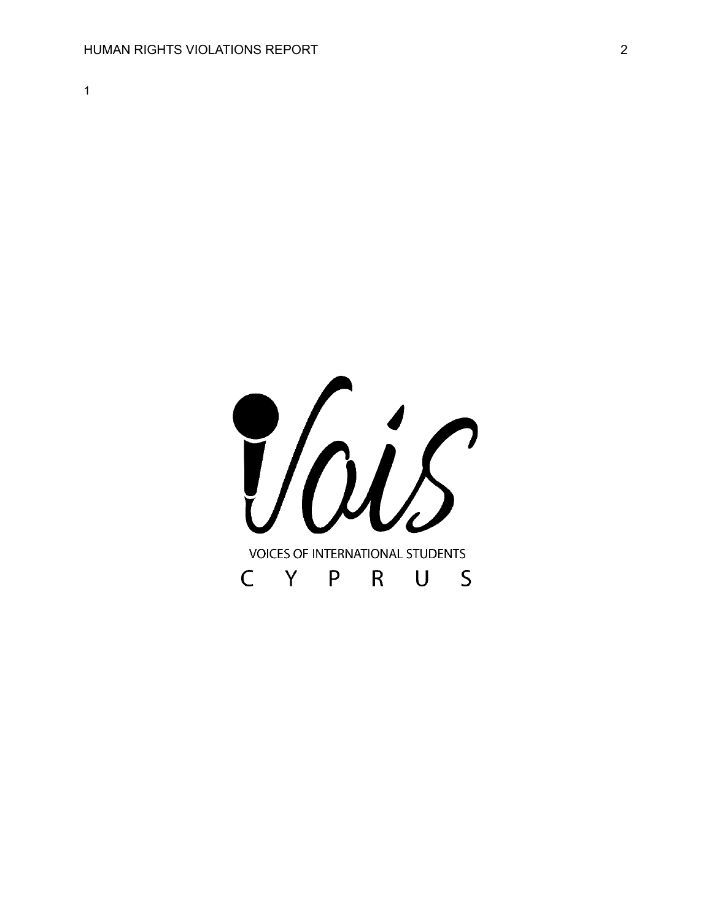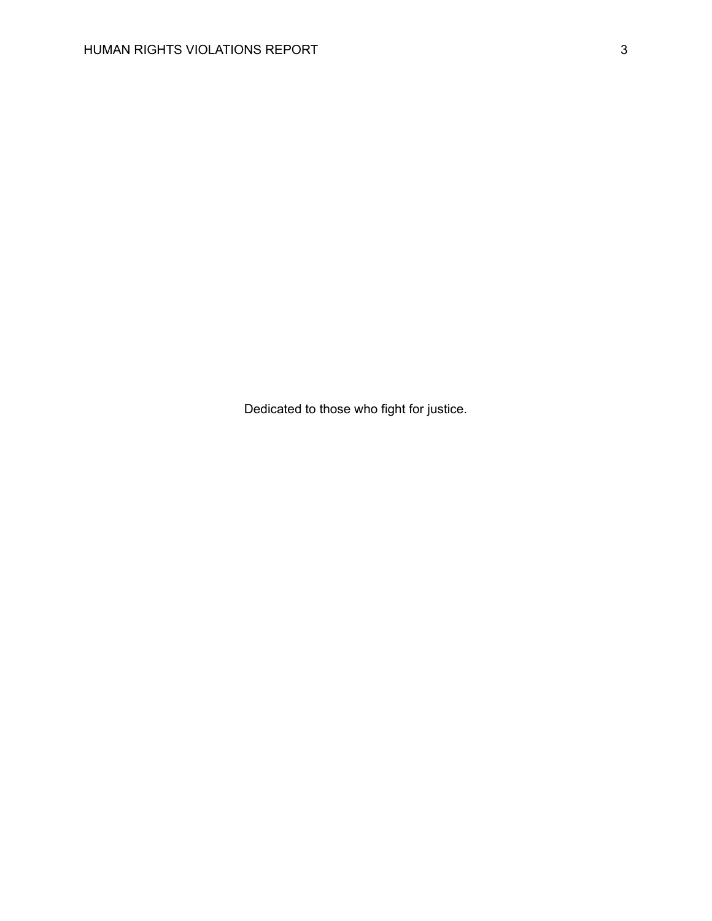Dedicated to those who fight for justice.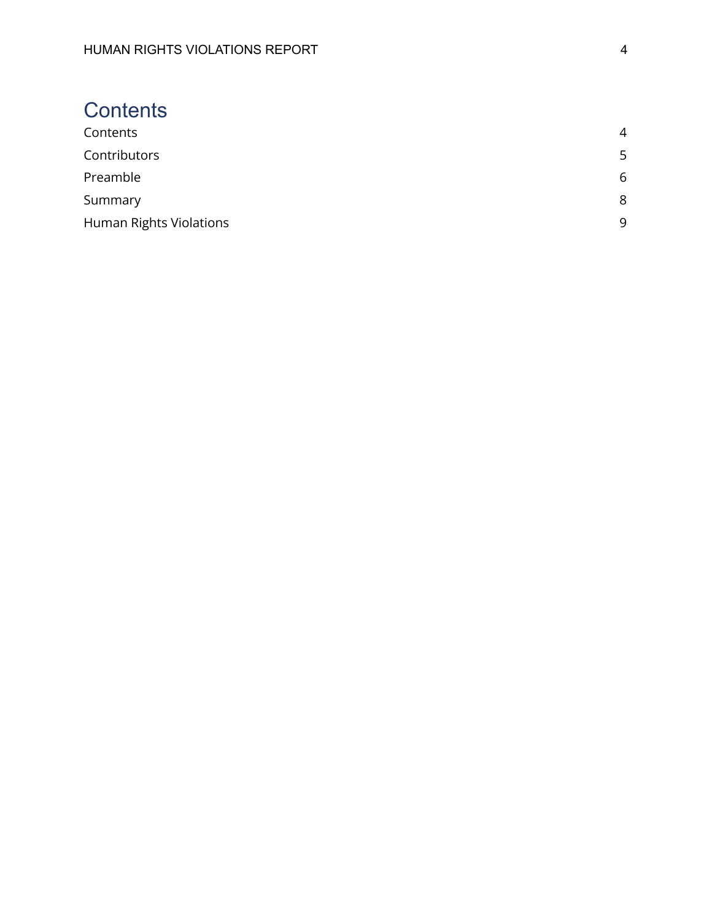# <span id="page-3-0"></span>**Contents**

| Contents                       | $\overline{4}$ |
|--------------------------------|----------------|
| Contributors                   | 5              |
| Preamble                       | 6              |
| Summary                        | 8              |
| <b>Human Rights Violations</b> | 9              |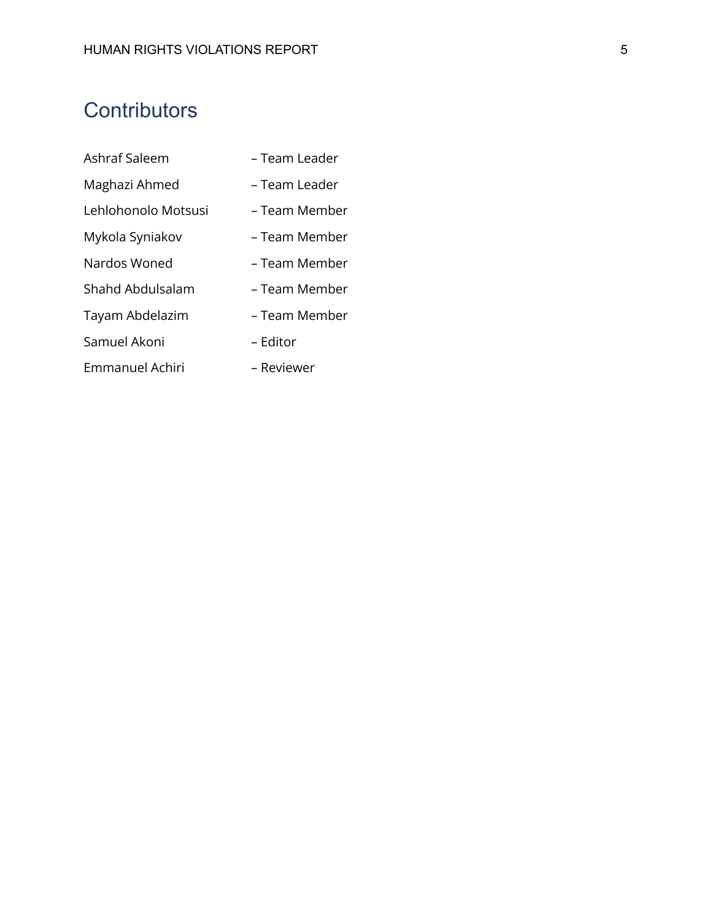# <span id="page-4-0"></span>**Contributors**

| Ashraf Saleem       | - Team Leader |
|---------------------|---------------|
| Maghazi Ahmed       | – Team Leader |
| Lehlohonolo Motsusi | – Team Member |
| Mykola Syniakov     | – Team Member |
| Nardos Woned        | – Team Member |
| Shahd Abdulsalam    | - Team Member |
| Tayam Abdelazim     | – Team Member |
| Samuel Akoni        | – Editor      |
| Emmanuel Achiri     | – Reviewer    |
|                     |               |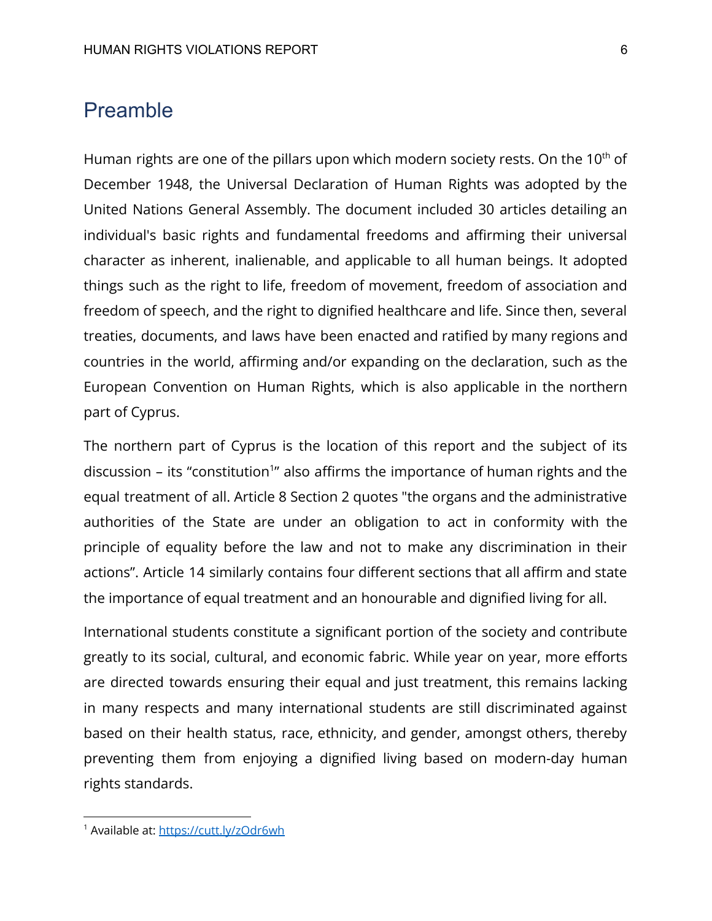# <span id="page-5-0"></span>Preamble

Human rights are one of the pillars upon which modern society rests. On the  $10<sup>th</sup>$  of December 1948, the Universal Declaration of Human Rights was adopted by the United Nations General Assembly. The document included 30 articles detailing an individual's basic rights and fundamental freedoms and affirming their universal character as inherent, inalienable, and applicable to all human beings. It adopted things such as the right to life, freedom of movement, freedom of association and freedom of speech, and the right to dignified healthcare and life. Since then, several treaties, documents, and laws have been enacted and ratified by many regions and countries in the world, affirming and/or expanding on the declaration, such as the European Convention on Human Rights, which is also applicable in the northern part of Cyprus.

The northern part of Cyprus is the location of this report and the subject of its discussion – its "constitution<sup>1</sup>" also affirms the importance of human rights and the equal treatment of all. Article 8 Section 2 quotes "the organs and the administrative authorities of the State are under an obligation to act in conformity with the principle of equality before the law and not to make any discrimination in their actions". Article 14 similarly contains four different sections that all affirm and state the importance of equal treatment and an honourable and dignified living for all.

International students constitute a significant portion of the society and contribute greatly to its social, cultural, and economic fabric. While year on year, more efforts are directed towards ensuring their equal and just treatment, this remains lacking in many respects and many international students are still discriminated against based on their health status, race, ethnicity, and gender, amongst others, thereby preventing them from enjoying a dignified living based on modern-day human rights standards.

<sup>&</sup>lt;sup>1</sup> Available at: <https://cutt.ly/zOdr6wh>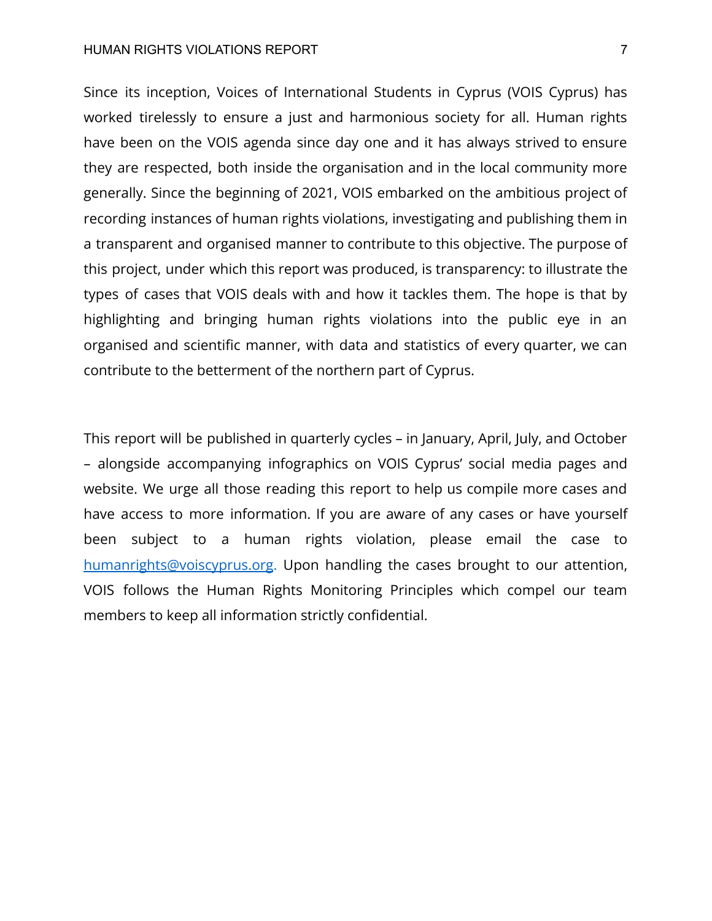#### HUMAN RIGHTS VIOLATIONS REPORT 7

Since its inception, Voices of International Students in Cyprus (VOIS Cyprus) has worked tirelessly to ensure a just and harmonious society for all. Human rights have been on the VOIS agenda since day one and it has always strived to ensure they are respected, both inside the organisation and in the local community more generally. Since the beginning of 2021, VOIS embarked on the ambitious project of recording instances of human rights violations, investigating and publishing them in a transparent and organised manner to contribute to this objective. The purpose of this project, under which this report was produced, is transparency: to illustrate the types of cases that VOIS deals with and how it tackles them. The hope is that by highlighting and bringing human rights violations into the public eye in an organised and scientific manner, with data and statistics of every quarter, we can contribute to the betterment of the northern part of Cyprus.

This report will be published in quarterly cycles – in January, April, July, and October – alongside accompanying infographics on VOIS Cyprus' social media pages and website. We urge all those reading this report to help us compile more cases and have access to more information. If you are aware of any cases or have yourself been subject to a human rights violation, please email the case to [humanrights@voiscyprus.org](mailto:humanrights@voiscyprus.org). Upon handling the cases brought to our attention, VOIS follows the Human Rights Monitoring Principles which compel our team members to keep all information strictly confidential.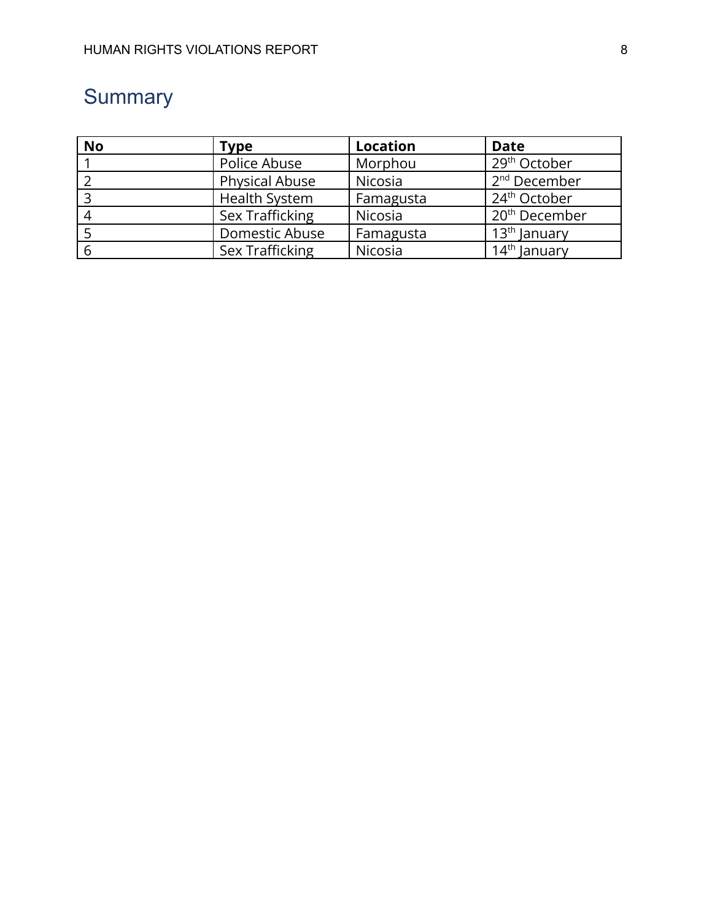# <span id="page-7-0"></span>**Summary**

| <b>No</b> | <b>Type</b>           | <b>Location</b> | <b>Date</b>                |
|-----------|-----------------------|-----------------|----------------------------|
|           | Police Abuse          | Morphou         | 29 <sup>th</sup> October   |
|           | <b>Physical Abuse</b> | Nicosia         | 2 <sup>nd</sup> December   |
|           | <b>Health System</b>  | Famagusta       | 24 <sup>th</sup> October   |
|           | Sex Trafficking       | Nicosia         | 20 <sup>th</sup> December  |
|           | Domestic Abuse        | Famagusta       | . 13 <sup>th</sup> January |
|           | Sex Trafficking       | Nicosia         | 14 <sup>th</sup> January   |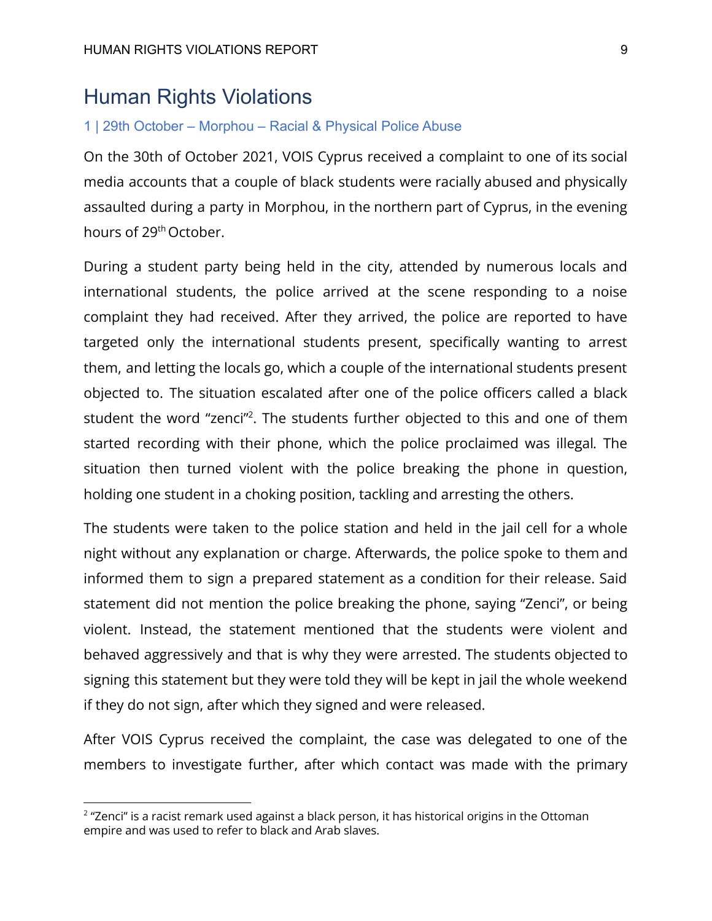# <span id="page-8-0"></span>Human Rights Violations

#### 1 | 29th October – Morphou – Racial & Physical Police Abuse

On the 30th of October 2021, VOIS Cyprus received a complaint to one of its social media accounts that a couple of black students were racially abused and physically assaulted during a party in Morphou, in the northern part of Cyprus, in the evening hours of 29<sup>th</sup> October.

During a student party being held in the city, attended by numerous locals and international students, the police arrived at the scene responding to a noise complaint they had received. After they arrived, the police are reported to have targeted only the international students present, specifically wanting to arrest them, and letting the locals go, which a couple of the international students present objected to. The situation escalated after one of the police officers called a black student the word "zenci"<sup>2</sup>. The students further objected to this and one of them started recording with their phone, which the police proclaimed was illegal*.* The situation then turned violent with the police breaking the phone in question, holding one student in a choking position, tackling and arresting the others.

The students were taken to the police station and held in the jail cell for a whole night without any explanation or charge. Afterwards, the police spoke to them and informed them to sign a prepared statement as a condition for their release. Said statement did not mention the police breaking the phone, saying "Zenci", or being violent. Instead, the statement mentioned that the students were violent and behaved aggressively and that is why they were arrested. The students objected to signing this statement but they were told they will be kept in jail the whole weekend if they do not sign, after which they signed and were released.

After VOIS Cyprus received the complaint, the case was delegated to one of the members to investigate further, after which contact was made with the primary

 $2$  "Zenci" is a racist remark used against a black person, it has historical origins in the Ottoman empire and was used to refer to black and Arab slaves.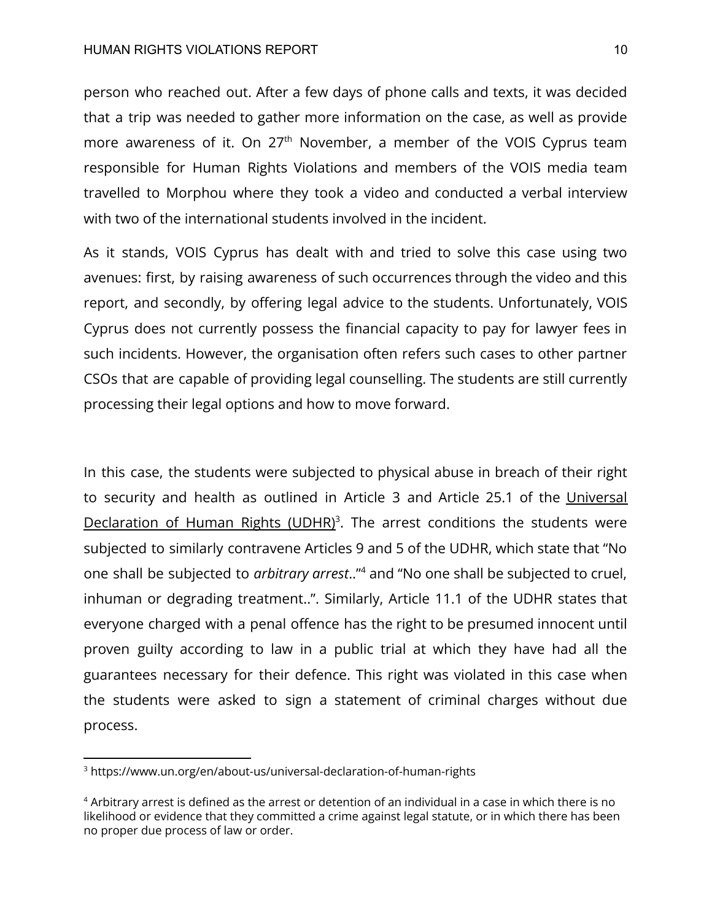#### HUMAN RIGHTS VIOLATIONS REPORT 10

person who reached out. After a few days of phone calls and texts, it was decided that a trip was needed to gather more information on the case, as well as provide more awareness of it. On 27<sup>th</sup> November, a member of the VOIS Cyprus team responsible for Human Rights Violations and members of the VOIS media team travelled to Morphou where they took a video and conducted a verbal interview with two of the international students involved in the incident.

As it stands, VOIS Cyprus has dealt with and tried to solve this case using two avenues: first, by raising awareness of such occurrences through the video and this report, and secondly, by offering legal advice to the students. Unfortunately, VOIS Cyprus does not currently possess the financial capacity to pay for lawyer fees in such incidents. However, the organisation often refers such cases to other partner CSOs that are capable of providing legal counselling. The students are still currently processing their legal options and how to move forward.

In this case, the students were subjected to physical abuse in breach of their right to security and health as outlined in Article 3 and Article 25.1 of the Universal Declaration of Human Rights (UDHR)<sup>3</sup>. The arrest conditions the students were subjected to similarly contravene Articles 9 and 5 of the UDHR, which state that "No one shall be subjected to *arbitrary arrest*.." and "No one shall be subjected to cruel, <sup>4</sup> inhuman or degrading treatment..". Similarly, Article 11.1 of the UDHR states that everyone charged with a penal offence has the right to be presumed innocent until proven guilty according to law in a public trial at which they have had all the guarantees necessary for their defence. This right was violated in this case when the students were asked to sign a statement of criminal charges without due process.

<sup>3</sup> <https://www.un.org/en/about-us/universal-declaration-of-human-rights>

<sup>4</sup> Arbitrary arrest is defined as the arrest or detention of an individual in a case in which there is no likelihood or evidence that they committed a crime against legal statute, or in which there has been no proper due process of law or order.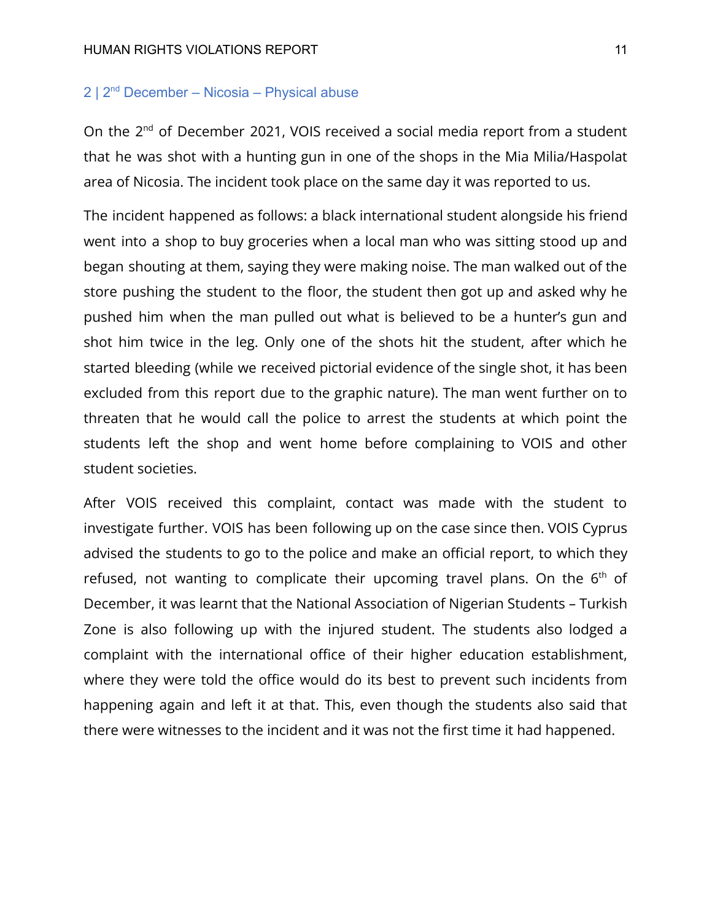## 2 | 2nd December – Nicosia – Physical abuse

On the 2<sup>nd</sup> of December 2021, VOIS received a social media report from a student that he was shot with a hunting gun in one of the shops in the Mia Milia/Haspolat area of Nicosia. The incident took place on the same day it was reported to us.

The incident happened as follows: a black international student alongside his friend went into a shop to buy groceries when a local man who was sitting stood up and began shouting at them, saying they were making noise. The man walked out of the store pushing the student to the floor, the student then got up and asked why he pushed him when the man pulled out what is believed to be a hunter's gun and shot him twice in the leg. Only one of the shots hit the student, after which he started bleeding (while we received pictorial evidence of the single shot, it has been excluded from this report due to the graphic nature). The man went further on to threaten that he would call the police to arrest the students at which point the students left the shop and went home before complaining to VOIS and other student societies.

After VOIS received this complaint, contact was made with the student to investigate further. VOIS has been following up on the case since then. VOIS Cyprus advised the students to go to the police and make an official report, to which they refused, not wanting to complicate their upcoming travel plans. On the  $6<sup>th</sup>$  of December, it was learnt that the National Association of Nigerian Students – Turkish Zone is also following up with the injured student. The students also lodged a complaint with the international office of their higher education establishment, where they were told the office would do its best to prevent such incidents from happening again and left it at that. This, even though the students also said that there were witnesses to the incident and it was not the first time it had happened.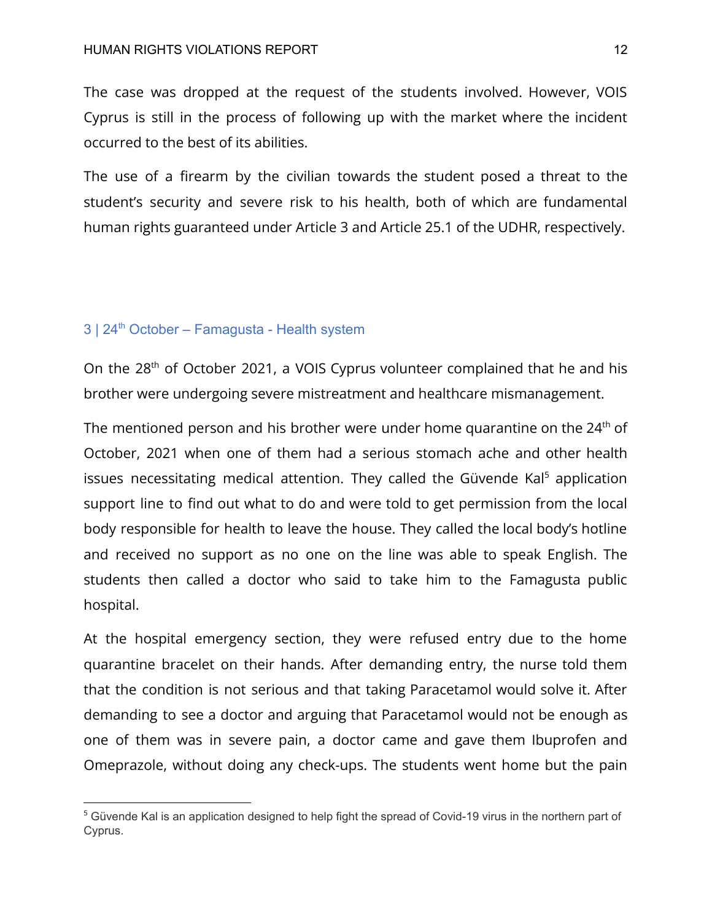The case was dropped at the request of the students involved. However, VOIS Cyprus is still in the process of following up with the market where the incident occurred to the best of its abilities.

The use of a firearm by the civilian towards the student posed a threat to the student's security and severe risk to his health, both of which are fundamental human rights guaranteed under Article 3 and Article 25.1 of the UDHR, respectively.

### $3 \mid 24^{\text{th}}$  October – Famagusta - Health system

On the 28th of October 2021, a VOIS Cyprus volunteer complained that he and his brother were undergoing severe mistreatment and healthcare mismanagement.

The mentioned person and his brother were under home quarantine on the  $24<sup>th</sup>$  of October, 2021 when one of them had a serious stomach ache and other health issues necessitating medical attention. They called the Güvende Kal $5$  application support line to find out what to do and were told to get permission from the local body responsible for health to leave the house. They called the local body's hotline and received no support as no one on the line was able to speak English. The students then called a doctor who said to take him to the Famagusta public hospital.

At the hospital emergency section, they were refused entry due to the home quarantine bracelet on their hands. After demanding entry, the nurse told them that the condition is not serious and that taking Paracetamol would solve it. After demanding to see a doctor and arguing that Paracetamol would not be enough as one of them was in severe pain, a doctor came and gave them Ibuprofen and Omeprazole, without doing any check-ups. The students went home but the pain

<sup>&</sup>lt;sup>5</sup> Güvende Kal is an application designed to help fight the spread of Covid-19 virus in the northern part of Cyprus.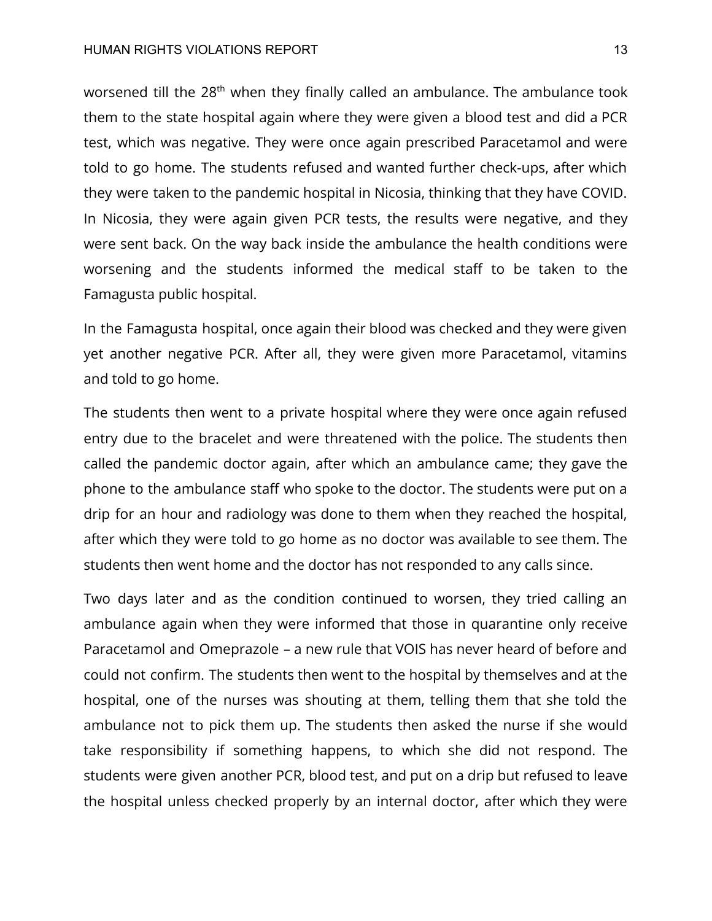#### HUMAN RIGHTS VIOLATIONS REPORT THE SECOND SERVICE OF THE SECOND 13

worsened till the 28<sup>th</sup> when they finally called an ambulance. The ambulance took them to the state hospital again where they were given a blood test and did a PCR test, which was negative. They were once again prescribed Paracetamol and were told to go home. The students refused and wanted further check-ups, after which they were taken to the pandemic hospital in Nicosia, thinking that they have COVID. In Nicosia, they were again given PCR tests, the results were negative, and they were sent back. On the way back inside the ambulance the health conditions were worsening and the students informed the medical staff to be taken to the Famagusta public hospital.

In the Famagusta hospital, once again their blood was checked and they were given yet another negative PCR. After all, they were given more Paracetamol, vitamins and told to go home.

The students then went to a private hospital where they were once again refused entry due to the bracelet and were threatened with the police. The students then called the pandemic doctor again, after which an ambulance came; they gave the phone to the ambulance staff who spoke to the doctor. The students were put on a drip for an hour and radiology was done to them when they reached the hospital, after which they were told to go home as no doctor was available to see them. The students then went home and the doctor has not responded to any calls since.

Two days later and as the condition continued to worsen, they tried calling an ambulance again when they were informed that those in quarantine only receive Paracetamol and Omeprazole – a new rule that VOIS has never heard of before and could not confirm. The students then went to the hospital by themselves and at the hospital, one of the nurses was shouting at them, telling them that she told the ambulance not to pick them up. The students then asked the nurse if she would take responsibility if something happens, to which she did not respond. The students were given another PCR, blood test, and put on a drip but refused to leave the hospital unless checked properly by an internal doctor, after which they were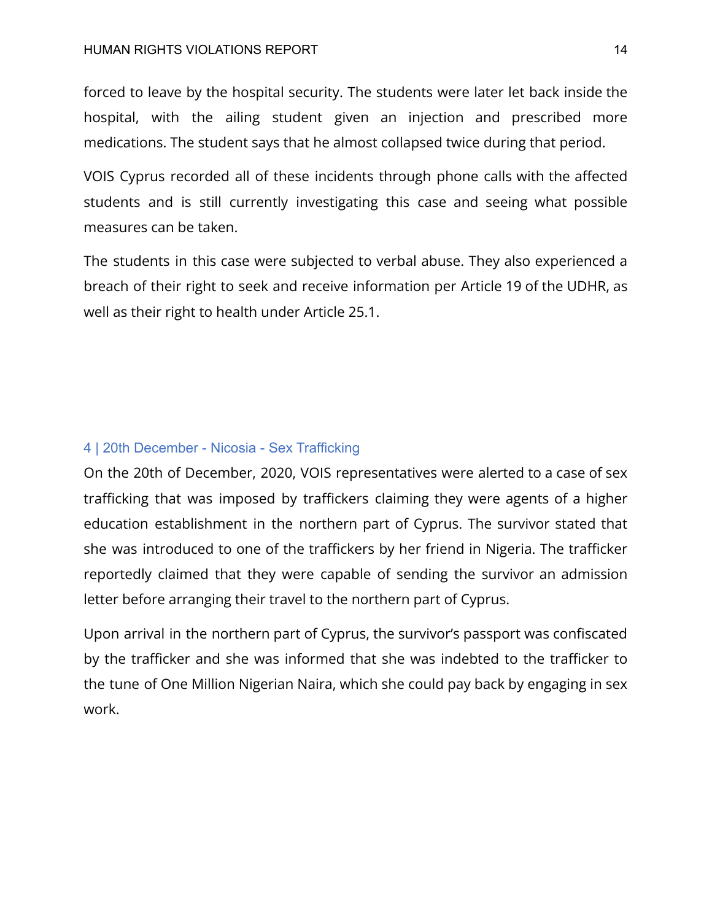forced to leave by the hospital security. The students were later let back inside the hospital, with the ailing student given an injection and prescribed more medications. The student says that he almost collapsed twice during that period.

VOIS Cyprus recorded all of these incidents through phone calls with the affected students and is still currently investigating this case and seeing what possible measures can be taken.

The students in this case were subjected to verbal abuse. They also experienced a breach of their right to seek and receive information per Article 19 of the UDHR, as well as their right to health under Article 25.1.

## 4 | 20th December - Nicosia - Sex Trafficking

On the 20th of December, 2020, VOIS representatives were alerted to a case of sex trafficking that was imposed by traffickers claiming they were agents of a higher education establishment in the northern part of Cyprus. The survivor stated that she was introduced to one of the traffickers by her friend in Nigeria. The trafficker reportedly claimed that they were capable of sending the survivor an admission letter before arranging their travel to the northern part of Cyprus.

Upon arrival in the northern part of Cyprus, the survivor's passport was confiscated by the trafficker and she was informed that she was indebted to the trafficker to the tune of One Million Nigerian Naira, which she could pay back by engaging in sex work.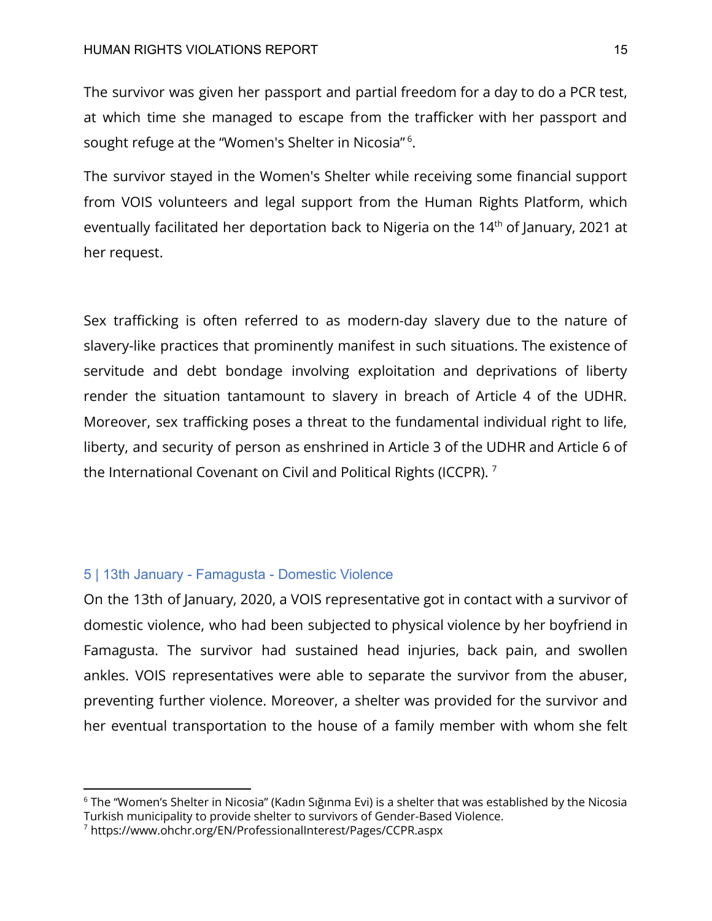#### HUMAN RIGHTS VIOLATIONS REPORT 15

The survivor was given her passport and partial freedom for a day to do a PCR test, at which time she managed to escape from the trafficker with her passport and sought refuge at the "Women's Shelter in Nicosia"<sup>6</sup>.

The survivor stayed in the Women's Shelter while receiving some financial support from VOIS volunteers and legal support from the Human Rights Platform, which eventually facilitated her deportation back to Nigeria on the 14<sup>th</sup> of January, 2021 at her request.

Sex trafficking is often referred to as modern-day slavery due to the nature of slavery-like practices that prominently manifest in such situations. The existence of servitude and debt bondage involving exploitation and deprivations of liberty render the situation tantamount to slavery in breach of Article 4 of the UDHR. Moreover, sex trafficking poses a threat to the fundamental individual right to life, liberty, and security of person as enshrined in Article 3 of the UDHR and Article 6 of the International Covenant on Civil and Political Rights (ICCPR).  $^7$ 

### 5 | 13th January - Famagusta - Domestic Violence

On the 13th of January, 2020, a VOIS representative got in contact with a survivor of domestic violence, who had been subjected to physical violence by her boyfriend in Famagusta. The survivor had sustained head injuries, back pain, and swollen ankles. VOIS representatives were able to separate the survivor from the abuser, preventing further violence. Moreover, a shelter was provided for the survivor and her eventual transportation to the house of a family member with whom she felt

<sup>6</sup> The "Women's Shelter in Nicosia" (Kadın Sığınma Evi) is a shelter that was established by the Nicosia Turkish municipality to provide shelter to survivors of Gender-Based Violence.

<sup>7</sup> https://www.ohchr.org/EN/ProfessionalInterest/Pages/CCPR.aspx